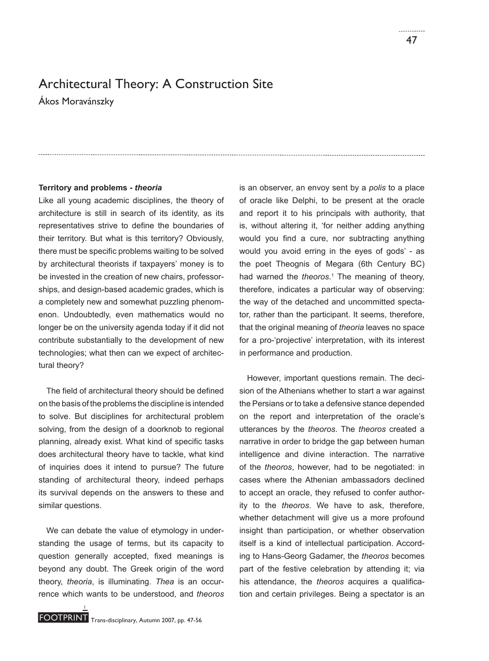# Architectural Theory: A Construction Site

Ákos Moravánszky

# **Territory and problems -** *theoria*

Like all young academic disciplines, the theory of architecture is still in search of its identity, as its representatives strive to define the boundaries of their territory. But what is this territory? Obviously, there must be specific problems waiting to be solved by architectural theorists if taxpayers' money is to be invested in the creation of new chairs, professorships, and design-based academic grades, which is a completely new and somewhat puzzling phenomenon. Undoubtedly, even mathematics would no longer be on the university agenda today if it did not contribute substantially to the development of new technologies; what then can we expect of architectural theory?

The field of architectural theory should be defined on the basis of the problems the discipline is intended to solve. But disciplines for architectural problem solving, from the design of a doorknob to regional planning, already exist. What kind of specific tasks does architectural theory have to tackle, what kind of inquiries does it intend to pursue? The future standing of architectural theory, indeed perhaps its survival depends on the answers to these and similar questions.

We can debate the value of etymology in understanding the usage of terms, but its capacity to question generally accepted, fixed meanings is beyond any doubt. The Greek origin of the word theory, *theoria*, is illuminating. *Thea* is an occurrence which wants to be understood, and *theoros*  is an observer, an envoy sent by a *polis* to a place of oracle like Delphi, to be present at the oracle and report it to his principals with authority, that is, without altering it, 'for neither adding anything would you find a cure, nor subtracting anything would you avoid erring in the eyes of gods' - as the poet Theognis of Megara (6th Century BC) had warned the *theoros*. 1 The meaning of theory, therefore, indicates a particular way of observing: the way of the detached and uncommitted spectator, rather than the participant. It seems, therefore, that the original meaning of *theoria* leaves no space for a pro-'projective' interpretation, with its interest in performance and production.

However, important questions remain. The decision of the Athenians whether to start a war against the Persians or to take a defensive stance depended on the report and interpretation of the oracle's utterances by the *theoros*. The *theoros* created a narrative in order to bridge the gap between human intelligence and divine interaction. The narrative of the *theoros*, however, had to be negotiated: in cases where the Athenian ambassadors declined to accept an oracle, they refused to confer authority to the *theoros*. We have to ask, therefore, whether detachment will give us a more profound insight than participation, or whether observation itself is a kind of intellectual participation. According to Hans-Georg Gadamer, the *theoros* becomes part of the festive celebration by attending it; via his attendance, the *theoros* acquires a qualification and certain privileges. Being a spectator is an

1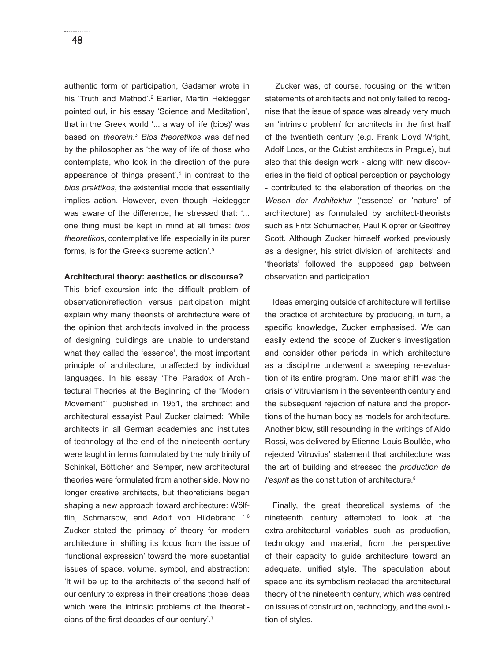authentic form of participation, Gadamer wrote in his 'Truth and Method'.<sup>2</sup> Earlier, Martin Heidegger pointed out, in his essay 'Science and Meditation', that in the Greek world '... a way of life (bios)' was based on *theorein*.<sup>3</sup> Bios theoretikos was defined by the philosopher as 'the way of life of those who contemplate, who look in the direction of the pure appearance of things present',4 in contrast to the *bios praktikos*, the existential mode that essentially implies action. However, even though Heidegger was aware of the difference, he stressed that: '... one thing must be kept in mind at all times: *bios theoretikos*, contemplative life, especially in its purer forms, is for the Greeks supreme action'.5

# **Architectural theory: aesthetics or discourse?**

This brief excursion into the difficult problem of observation/reflection versus participation might explain why many theorists of architecture were of the opinion that architects involved in the process of designing buildings are unable to understand what they called the 'essence', the most important principle of architecture, unaffected by individual languages. In his essay 'The Paradox of Architectural Theories at the Beginning of the "Modern Movement"', published in 1951, the architect and architectural essayist Paul Zucker claimed: 'While architects in all German academies and institutes of technology at the end of the nineteenth century were taught in terms formulated by the holy trinity of Schinkel, Bötticher and Semper, new architectural theories were formulated from another side. Now no longer creative architects, but theoreticians began shaping a new approach toward architecture: Wölfflin, Schmarsow, and Adolf von Hildebrand...'.<sup>6</sup> Zucker stated the primacy of theory for modern architecture in shifting its focus from the issue of 'functional expression' toward the more substantial issues of space, volume, symbol, and abstraction: 'It will be up to the architects of the second half of our century to express in their creations those ideas which were the intrinsic problems of the theoreticians of the first decades of our century'.<sup>7</sup>

 Zucker was, of course, focusing on the written statements of architects and not only failed to recognise that the issue of space was already very much an 'intrinsic problem' for architects in the first half of the twentieth century (e.g. Frank Lloyd Wright, Adolf Loos, or the Cubist architects in Prague), but also that this design work - along with new discoveries in the field of optical perception or psychology - contributed to the elaboration of theories on the Wesen der Architekturl ('essence' or 'nature' of architecture) as formulated by architect-theorists such as Fritz Schumacher, Paul Klopfer or Geoffrey Scott. Although Zucker himself worked previously as a designer, his strict division of 'architects' and 'theorists' followed the supposed gap between observation and participation.

Ideas emerging outside of architecture will fertilise the practice of architecture by producing, in turn, a specific knowledge, Zucker emphasised. We can easily extend the scope of Zucker's investigation and consider other periods in which architecture as a discipline underwent a sweeping re-evaluation of its entire program. One major shift was the crisis of Vitruvianism in the seventeenth century and the subsequent rejection of nature and the proportions of the human body as models for architecture. Another blow, still resounding in the writings of Aldo Rossi, was delivered by Etienne-Louis Boullée, who rejected Vitruvius' statement that architecture was the art of building and stressed the *production de l'esprit* as the constitution of architecture.<sup>8</sup>

Finally, the great theoretical systems of the nineteenth century attempted to look at the extra-architectural variables such as production, technology and material, from the perspective of their capacity to guide architecture toward an adequate, unified style. The speculation about space and its symbolism replaced the architectural theory of the nineteenth century, which was centred on issues of construction, technology, and the evolution of styles.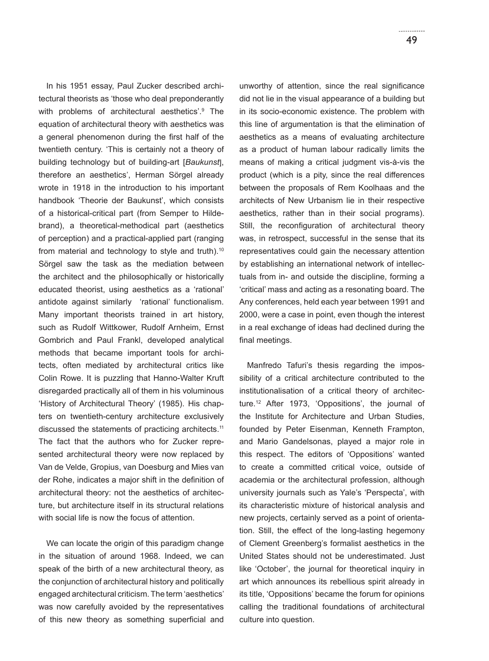In his 1951 essay, Paul Zucker described architectural theorists as 'those who deal preponderantly with problems of architectural aesthetics'.<sup>9</sup> The equation of architectural theory with aesthetics was a general phenomenon during the first half of the twentieth century. 'This is certainly not a theory of building technology but of building-art [*Baukunst*], therefore an aesthetics', Herman Sörgel already wrote in 1918 in the introduction to his important handbook 'Theorie der Baukunst', which consists of a historical-critical part (from Semper to Hildebrand), a theoretical-methodical part (aesthetics of perception) and a practical-applied part (ranging from material and technology to style and truth).<sup>10</sup> Sörgel saw the task as the mediation between the architect and the philosophically or historically educated theorist, using aesthetics as a 'rational' antidote against similarly 'rational' functionalism. Many important theorists trained in art history, such as Rudolf Wittkower, Rudolf Arnheim, Ernst Gombrich and Paul Frankl, developed analytical methods that became important tools for architects, often mediated by architectural critics like Colin Rowe. It is puzzling that Hanno-Walter Kruft disregarded practically all of them in his voluminous 'History of Architectural Theory' (1985). His chapters on twentieth-century architecture exclusively discussed the statements of practicing architects.<sup>11</sup> The fact that the authors who for Zucker represented architectural theory were now replaced by Van de Velde, Gropius, van Doesburg and Mies van der Rohe, indicates a major shift in the definition of architectural theory: not the aesthetics of architecture, but architecture itself in its structural relations with social life is now the focus of attention.

We can locate the origin of this paradigm change in the situation of around 1968. Indeed, we can speak of the birth of a new architectural theory, as the conjunction of architectural history and politically engaged architectural criticism. The term 'aesthetics' was now carefully avoided by the representatives of this new theory as something superficial and unworthy of attention, since the real significance did not lie in the visual appearance of a building but in its socio-economic existence. The problem with this line of argumentation is that the elimination of aesthetics as a means of evaluating architecture as a product of human labour radically limits the means of making a critical judgment vis-à-vis the product (which is a pity, since the real differences between the proposals of Rem Koolhaas and the architects of New Urbanism lie in their respective aesthetics, rather than in their social programs). Still, the reconfiguration of architectural theory was, in retrospect, successful in the sense that its representatives could gain the necessary attention by establishing an international network of intellectuals from in- and outside the discipline, forming a 'critical' mass and acting as a resonating board. The Any conferences, held each year between 1991 and 2000, were a case in point, even though the interest in a real exchange of ideas had declined during the final meetings.

Manfredo Tafuri's thesis regarding the impossibility of a critical architecture contributed to the institutionalisation of a critical theory of architecture.12 After 1973, 'Oppositions', the journal of the Institute for Architecture and Urban Studies, founded by Peter Eisenman, Kenneth Frampton, and Mario Gandelsonas, played a major role in this respect. The editors of 'Oppositions' wanted to create a committed critical voice, outside of academia or the architectural profession, although university journals such as Yale's 'Perspecta', with its characteristic mixture of historical analysis and new projects, certainly served as a point of orientation. Still, the effect of the long-lasting hegemony of Clement Greenberg's formalist aesthetics in the United States should not be underestimated. Just like 'October', the journal for theoretical inquiry in art which announces its rebellious spirit already in its title, 'Oppositions' became the forum for opinions calling the traditional foundations of architectural culture into question.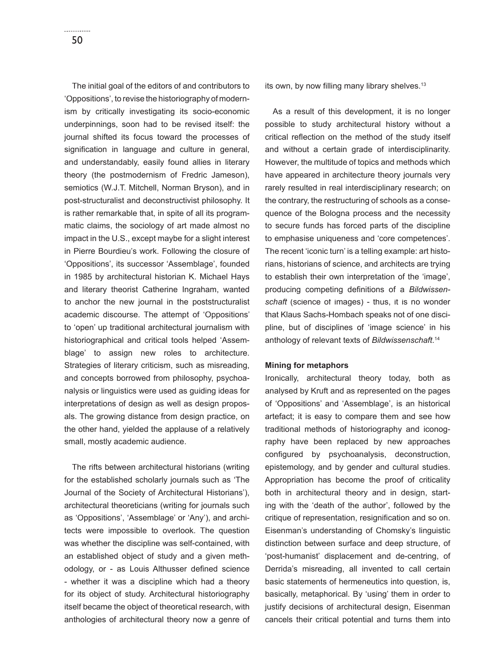The initial goal of the editors of and contributors to 'Oppositions', to revise the historiography of modernism by critically investigating its socio-economic underpinnings, soon had to be revised itself: the journal shifted its focus toward the processes of signification in language and culture in general, and understandably, easily found allies in literary theory (the postmodernism of Fredric Jameson), semiotics (W.J.T. Mitchell, Norman Bryson), and in post-structuralist and deconstructivist philosophy. It is rather remarkable that, in spite of all its programmatic claims, the sociology of art made almost no impact in the U.S., except maybe for a slight interest in Pierre Bourdieu's work. Following the closure of 'Oppositions', its successor 'Assemblage', founded in 1985 by architectural historian K. Michael Hays and literary theorist Catherine Ingraham, wanted to anchor the new journal in the poststructuralist academic discourse. The attempt of 'Oppositions' to 'open' up traditional architectural journalism with historiographical and critical tools helped 'Assemblage' to assign new roles to architecture. Strategies of literary criticism, such as misreading, and concepts borrowed from philosophy, psychoanalysis or linguistics were used as guiding ideas for interpretations of design as well as design proposals. The growing distance from design practice, on the other hand, yielded the applause of a relatively small, mostly academic audience.

The rifts between architectural historians (writing for the established scholarly journals such as 'The Journal of the Society of Architectural Historians'), architectural theoreticians (writing for journals such as 'Oppositions', 'Assemblage' or 'Any'), and architects were impossible to overlook. The question was whether the discipline was self-contained, with an established object of study and a given methodology, or - as Louis Althusser defined science - whether it was a discipline which had a theory for its object of study. Architectural historiography itself became the object of theoretical research, with anthologies of architectural theory now a genre of its own, by now filling many library shelves. $13$ 

As a result of this development, it is no longer possible to study architectural history without a critical reflection on the method of the study itself and without a certain grade of interdisciplinarity. However, the multitude of topics and methods which have appeared in architecture theory journals very rarely resulted in real interdisciplinary research; on the contrary, the restructuring of schools as a consequence of the Bologna process and the necessity to secure funds has forced parts of the discipline to emphasise uniqueness and 'core competences'. The recent 'iconic turn' is a telling example: art historians, historians of science, and architects are trying to establish their own interpretation of the 'image', producing competing definitions of a *Bildwissenschaft* (science of images) - thus, it is no wonder that Klaus Sachs-Hombach speaks not of one discipline, but of disciplines of 'image science' in his anthology of relevant texts of *Bildwissenschaft*. 14

## **Mining for metaphors**

Ironically, architectural theory today, both as analysed by Kruft and as represented on the pages of 'Oppositions' and 'Assemblage', is an historical artefact; it is easy to compare them and see how traditional methods of historiography and iconography have been replaced by new approaches configured by psychoanalysis, deconstruction, epistemology, and by gender and cultural studies. Appropriation has become the proof of criticality both in architectural theory and in design, starting with the 'death of the author', followed by the critique of representation, resignification and so on. Eisenman's understanding of Chomsky's linguistic distinction between surface and deep structure, of 'post-humanist' displacement and de-centring, of Derrida's misreading, all invented to call certain basic statements of hermeneutics into question, is, basically, metaphorical. By 'using' them in order to justify decisions of architectural design, Eisenman cancels their critical potential and turns them into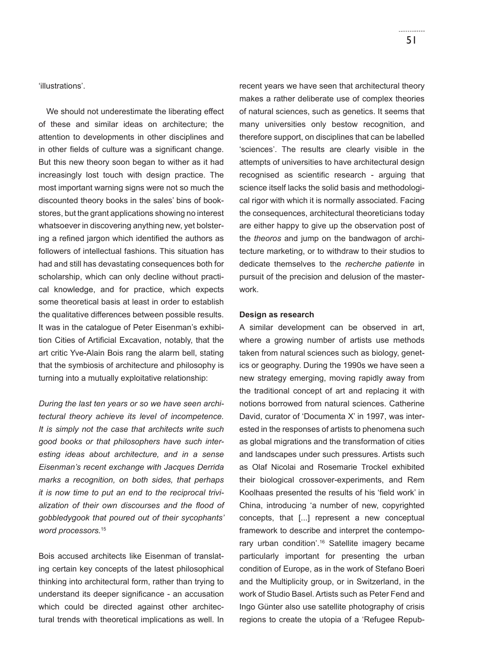'illustrations'.

We should not underestimate the liberating effect of these and similar ideas on architecture; the attention to developments in other disciplines and in other fields of culture was a significant change. But this new theory soon began to wither as it had increasingly lost touch with design practice. The most important warning signs were not so much the discounted theory books in the sales' bins of bookstores, but the grant applications showing no interest whatsoever in discovering anything new, yet bolstering a refined jargon which identified the authors as followers of intellectual fashions. This situation has had and still has devastating consequences both for scholarship, which can only decline without practical knowledge, and for practice, which expects some theoretical basis at least in order to establish the qualitative differences between possible results. It was in the catalogue of Peter Eisenman's exhibition Cities of Artificial Excavation, notably, that the art critic Yve-Alain Bois rang the alarm bell, stating that the symbiosis of architecture and philosophy is turning into a mutually exploitative relationship:

*During the last ten years or so we have seen architectural theory achieve its level of incompetence. It is simply not the case that architects write such good books or that philosophers have such interesting ideas about architecture, and in a sense Eisenman's recent exchange with Jacques Derrida marks a recognition, on both sides, that perhaps it is now time to put an end to the reciprocal trivi*alization of their own discourses and the flood of *gobbledygook that poured out of their sycophants' word processors.*<sup>15</sup>

Bois accused architects like Eisenman of translating certain key concepts of the latest philosophical thinking into architectural form, rather than trying to understand its deeper significance - an accusation which could be directed against other architectural trends with theoretical implications as well. In

recent years we have seen that architectural theory makes a rather deliberate use of complex theories of natural sciences, such as genetics. It seems that many universities only bestow recognition, and therefore support, on disciplines that can be labelled 'sciences'. The results are clearly visible in the attempts of universities to have architectural design recognised as scientific research - arguing that science itself lacks the solid basis and methodological rigor with which it is normally associated. Facing the consequences, architectural theoreticians today are either happy to give up the observation post of the *theoros* and jump on the bandwagon of architecture marketing, or to withdraw to their studios to dedicate themselves to the *recherche patiente* in pursuit of the precision and delusion of the masterwork.

# **Design as research**

A similar development can be observed in art, where a growing number of artists use methods taken from natural sciences such as biology, genetics or geography. During the 1990s we have seen a new strategy emerging, moving rapidly away from the traditional concept of art and replacing it with notions borrowed from natural sciences. Catherine David, curator of 'Documenta X' in 1997, was interested in the responses of artists to phenomena such as global migrations and the transformation of cities and landscapes under such pressures. Artists such as Olaf Nicolai and Rosemarie Trockel exhibited their biological crossover-experiments, and Rem Koolhaas presented the results of his 'field work' in China, introducing 'a number of new, copyrighted concepts, that [...] represent a new conceptual framework to describe and interpret the contemporary urban condition'.<sup>16</sup> Satellite imagery became particularly important for presenting the urban condition of Europe, as in the work of Stefano Boeri and the Multiplicity group, or in Switzerland, in the work of Studio Basel. Artists such as Peter Fend and Ingo Günter also use satellite photography of crisis regions to create the utopia of a 'Refugee Repub-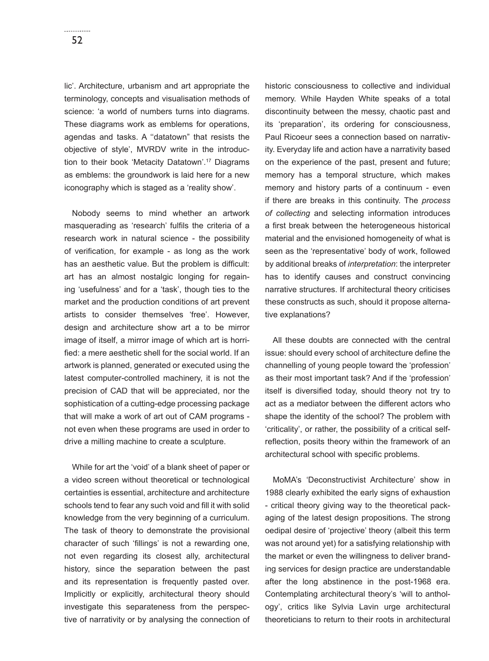lic'. Architecture, urbanism and art appropriate the terminology, concepts and visualisation methods of science: 'a world of numbers turns into diagrams. These diagrams work as emblems for operations, agendas and tasks. A ''datatown" that resists the objective of style', MVRDV write in the introduction to their book 'Metacity Datatown'.17 Diagrams as emblems: the groundwork is laid here for a new iconography which is staged as a 'reality show'.

Nobody seems to mind whether an artwork masquerading as 'research' fulfils the criteria of a research work in natural science - the possibility of verification, for example - as long as the work has an aesthetic value. But the problem is difficult: art has an almost nostalgic longing for regaining 'usefulness' and for a 'task', though ties to the market and the production conditions of art prevent artists to consider themselves 'free'. However, design and architecture show art a to be mirror image of itself, a mirror image of which art is horrified: a mere aesthetic shell for the social world. If an artwork is planned, generated or executed using the latest computer-controlled machinery, it is not the precision of CAD that will be appreciated, nor the sophistication of a cutting-edge processing package that will make a work of art out of CAM programs not even when these programs are used in order to drive a milling machine to create a sculpture.

While for art the 'void' of a blank sheet of paper or a video screen without theoretical or technological certainties is essential, architecture and architecture schools tend to fear any such void and fill it with solid knowledge from the very beginning of a curriculum. The task of theory to demonstrate the provisional character of such 'fillings' is not a rewarding one, not even regarding its closest ally, architectural history, since the separation between the past and its representation is frequently pasted over. Implicitly or explicitly, architectural theory should investigate this separateness from the perspective of narrativity or by analysing the connection of historic consciousness to collective and individual memory. While Hayden White speaks of a total discontinuity between the messy, chaotic past and its 'preparation', its ordering for consciousness, Paul Ricoeur sees a connection based on narrativity. Everyday life and action have a narrativity based on the experience of the past, present and future; memory has a temporal structure, which makes memory and history parts of a continuum - even if there are breaks in this continuity. The *process of collecting* and selecting information introduces a first break between the heterogeneous historical material and the envisioned homogeneity of what is seen as the 'representative' body of work, followed by additional breaks of *interpretation*: the interpreter has to identify causes and construct convincing narrative structures. If architectural theory criticises these constructs as such, should it propose alternative explanations?

All these doubts are connected with the central issue: should every school of architecture define the channelling of young people toward the 'profession' as their most important task? And if the 'profession' itself is diversified today, should theory not try to act as a mediator between the different actors who shape the identity of the school? The problem with 'criticality', or rather, the possibility of a critical selfreflection, posits theory within the framework of an architectural school with specific problems.

MoMA's 'Deconstructivist Architecture' show in 1988 clearly exhibited the early signs of exhaustion - critical theory giving way to the theoretical packaging of the latest design propositions. The strong oedipal desire of 'projective' theory (albeit this term was not around yet) for a satisfying relationship with the market or even the willingness to deliver branding services for design practice are understandable after the long abstinence in the post-1968 era. Contemplating architectural theory's 'will to anthology', critics like Sylvia Lavin urge architectural theoreticians to return to their roots in architectural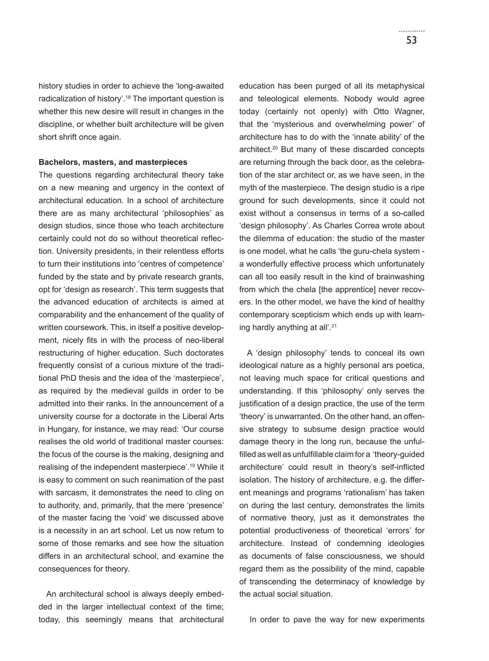history studies in order to achieve the 'long-awaited radicalization of history'.<sup>18</sup> The important question is whether this new desire will result in changes in the discipline, or whether built architecture will be given short shrift once again.

#### **Bachelors, masters, and masterpieces**

The questions regarding architectural theory take on a new meaning and urgency in the context of architectural education. In a school of architecture there are as many architectural 'philosophies' as design studios, since those who teach architecture certainly could not do so without theoretical reflection. University presidents, in their relentless efforts to turn their institutions into 'centres of competence' funded by the state and by private research grants, opt for 'design as research'. This term suggests that the advanced education of architects is aimed at comparability and the enhancement of the quality of written coursework. This, in itself a positive development, nicely fits in with the process of neo-liberal restructuring of higher education. Such doctorates frequently consist of a curious mixture of the traditional PhD thesis and the idea of the 'masterpiece', as required by the medieval guilds in order to be admitted into their ranks. In the announcement of a university course for a doctorate in the Liberal Arts in Hungary, for instance, we may read: 'Our course realises the old world of traditional master courses: the focus of the course is the making, designing and realising of the independent masterpiece'.19 While it is easy to comment on such reanimation of the past with sarcasm, it demonstrates the need to cling on to authority, and, primarily, that the mere 'presence' of the master facing the 'void' we discussed above is a necessity in an art school. Let us now return to some of those remarks and see how the situation differs in an architectural school, and examine the consequences for theory.

An architectural school is always deeply embedded in the larger intellectual context of the time; today, this seemingly means that architectural education has been purged of all its metaphysical and teleological elements. Nobody would agree today (certainly not openly) with Otto Wagner, that the 'mysterious and overwhelming power' of architecture has to do with the 'innate ability' of the architect.20 But many of these discarded concepts are returning through the back door, as the celebration of the star architect or, as we have seen, in the myth of the masterpiece. The design studio is a ripe ground for such developments, since it could not exist without a consensus in terms of a so-called 'design philosophy'. As Charles Correa wrote about the dilemma of education: the studio of the master is one model, what he calls 'the guru-chela system a wonderfully effective process which unfortunately can all too easily result in the kind of brainwashing from which the chela [the apprentice] never recovers. In the other model, we have the kind of healthy contemporary scepticism which ends up with learning hardly anything at all'.21

A 'design philosophy' tends to conceal its own ideological nature as a highly personal ars poetica, not leaving much space for critical questions and understanding. If this 'philosophy' only serves the justification of a design practice, the use of the term 'theory' is unwarranted. On the other hand, an offensive strategy to subsume design practice would damage theory in the long run, because the unfulfilled as well as unfulfillable claim for a 'theory-quided architecture' could result in theory's self-inflicted isolation. The history of architecture, e.g. the different meanings and programs 'rationalism' has taken on during the last century, demonstrates the limits of normative theory, just as it demonstrates the potential productiveness of theoretical 'errors' for architecture. Instead of condemning ideologies as documents of false consciousness, we should regard them as the possibility of the mind, capable of transcending the determinacy of knowledge by the actual social situation.

In order to pave the way for new experiments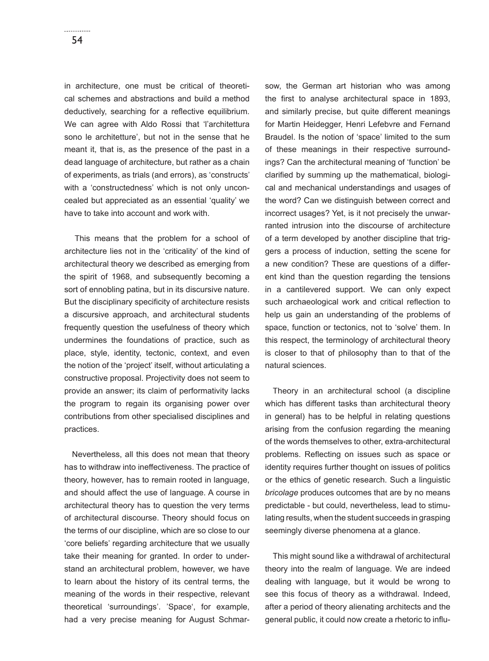in architecture, one must be critical of theoretical schemes and abstractions and build a method deductively, searching for a reflective equilibrium. We can agree with Aldo Rossi that 'l'architettura sono le architetture', but not in the sense that he meant it, that is, as the presence of the past in a dead language of architecture, but rather as a chain of experiments, as trials (and errors), as 'constructs' with a 'constructedness' which is not only unconcealed but appreciated as an essential 'quality' we have to take into account and work with.

 This means that the problem for a school of architecture lies not in the 'criticality' of the kind of architectural theory we described as emerging from the spirit of 1968, and subsequently becoming a sort of ennobling patina, but in its discursive nature. But the disciplinary specificity of architecture resists a discursive approach, and architectural students frequently question the usefulness of theory which undermines the foundations of practice, such as place, style, identity, tectonic, context, and even the notion of the 'project' itself, without articulating a constructive proposal. Projectivity does not seem to provide an answer; its claim of performativity lacks the program to regain its organising power over contributions from other specialised disciplines and practices.

Nevertheless, all this does not mean that theory has to withdraw into ineffectiveness. The practice of theory, however, has to remain rooted in language, and should affect the use of language. A course in architectural theory has to question the very terms of architectural discourse. Theory should focus on the terms of our discipline, which are so close to our 'core beliefs' regarding architecture that we usually take their meaning for granted. In order to understand an architectural problem, however, we have to learn about the history of its central terms, the meaning of the words in their respective, relevant theoretical 'surroundings'. 'Space', for example, had a very precise meaning for August Schmarsow, the German art historian who was among the first to analyse architectural space in 1893. and similarly precise, but quite different meanings for Martin Heidegger, Henri Lefebvre and Fernand Braudel. Is the notion of 'space' limited to the sum of these meanings in their respective surroundings? Can the architectural meaning of 'function' be clarified by summing up the mathematical, biological and mechanical understandings and usages of the word? Can we distinguish between correct and incorrect usages? Yet, is it not precisely the unwarranted intrusion into the discourse of architecture of a term developed by another discipline that triggers a process of induction, setting the scene for a new condition? These are questions of a different kind than the question regarding the tensions in a cantilevered support. We can only expect such archaeological work and critical reflection to help us gain an understanding of the problems of space, function or tectonics, not to 'solve' them. In this respect, the terminology of architectural theory is closer to that of philosophy than to that of the natural sciences.

Theory in an architectural school (a discipline which has different tasks than architectural theory in general) has to be helpful in relating questions arising from the confusion regarding the meaning of the words themselves to other, extra-architectural problems. Reflecting on issues such as space or identity requires further thought on issues of politics or the ethics of genetic research. Such a linguistic *bricolage* produces outcomes that are by no means predictable - but could, nevertheless, lead to stimulating results, when the student succeeds in grasping seemingly diverse phenomena at a glance.

This might sound like a withdrawal of architectural theory into the realm of language. We are indeed dealing with language, but it would be wrong to see this focus of theory as a withdrawal. Indeed, after a period of theory alienating architects and the general public, it could now create a rhetoric to influ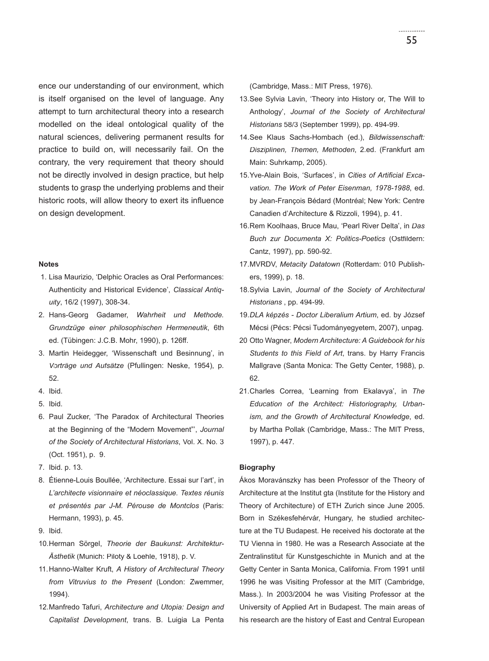ence our understanding of our environment, which is itself organised on the level of language. Any attempt to turn architectural theory into a research modelled on the ideal ontological quality of the natural sciences, delivering permanent results for practice to build on, will necessarily fail. On the contrary, the very requirement that theory should not be directly involved in design practice, but help students to grasp the underlying problems and their historic roots, will allow theory to exert its influence on design development.

#### **Notes**

- 1. Lisa Maurizio, 'Delphic Oracles as Oral Performances: Authenticity and Historical Evidence', *Classical Antiquity*, 16/2 (1997), 308-34.
- 2. Hans-Georg Gadamer, *Wahrheit und Methode. Grundzüge einer philosophischen Hermeneutik*, 6th ed. (Tübingen: J.C.B. Mohr, 1990), p. 126ff.
- 3. Martin Heidegger, 'Wissenschaft und Besinnung', in *Vorträge und Aufsätze* (Pfullingen: Neske, 1954), p. 52.
- 4. Ibid.
- 5. Ibid.
- 6. Paul Zucker, 'The Paradox of Architectural Theories at the Beginning of the "Modern Movement"', *Journal of the Society of Architectural Historians*, Vol. X. No. 3 (Oct. 1951), p. 9.
- 7. Ibid. p. 13.
- 8. Étienne-Louis Boullée, 'Architecture. Essai sur l'art', in *L'architecte visionnaire et néoclassique. Textes réunis et présentés par J-M. Pérouse de Montclos* (Paris: Hermann, 1993), p. 45.
- 9. Ibid.
- 10. Herman Sörgel, *Theorie der Baukunst: Architektur-Ästhetik* (Munich: Piloty & Loehle, 1918), p. V. V.
- 11. Hanno-Walter Kruft, *A History of Architectural Theory from Vitruvius to the Present* (London: Zwemmer, 1994).
- 12. Manfredo Tafuri, *Architecture and Utopia: Design and Capitalist Development*, trans. B. Luigia La Penta

(Cambridge, Mass.: MIT Press, 1976).

- 13. See Sylvia Lavin, 'Theory into History or, The Will to Anthology', *Journal of the Society of Architectural Historians* 58/3 (September 1999), pp. 494-99.
- 14. See Klaus Sachs-Hombach (ed.), *Bildwissenschaft: Disziplinen, Themen, Methoden*, 2.ed. (Frankfurt am Main: Suhrkamp, 2005).
- 15. Yve-Alain Bois, 'Surfaces', in *Cities of Artificial Excavation. The Work of Peter Eisenman, 1978-1988*, ed. by Jean-François Bédard (Montréal; New York: Centre Canadien d'Architecture & Rizzoli, 1994), p. 41.
- 16. Rem Koolhaas, Bruce Mau, 'Pearl River Delta', in *Das*  **Buch zur Documenta X: Politics-Poetics (Ostfildern:** Cantz, 1997), pp. 590-92.
- 17. MVRDV, *Metacity Datatown* (Rotterdam: 010 Publishers, 1999), p. 18.
- 18. Sylvia Lavin, *Journal of the Society of Architectural Historians* , pp. 494-99.
- 19. *DLA képzés Doctor Liberalium Artium*, ed. by József Mécsi (Pécs: Pécsi Tudományegyetem, 2007), unpag.
- 20 Otto Wagner, *Modern Architecture: A Guidebook for his Students to this Field of Art*, trans. by Harry Francis Mallgrave (Santa Monica: The Getty Center, 1988), p. 62.
- 21. Charles Correa, 'Learning from Ekalavya', in *The Education of the Architect: Historiography, Urbanism, and the Growth of Architectural Knowledge*, ed. by Martha Pollak (Cambridge, Mass.: The MIT Press, 1997), p. 447.

## **Biography**

Ákos Moravánszky has been Professor of the Theory of Architecture at the Institut gta (Institute for the History and Theory of Architecture) of ETH Zurich since June 2005. Born in Székesfehérvár, Hungary, he studied architecture at the TU Budapest. He received his doctorate at the TU Vienna in 1980. He was a Research Associate at the Zentralinstitut für Kunstgeschichte in Munich and at the Getty Center in Santa Monica, California. From 1991 until 1996 he was Visiting Professor at the MIT (Cambridge, Mass.). In 2003/2004 he was Visiting Professor at the University of Applied Art in Budapest. The main areas of his research are the history of East and Central European